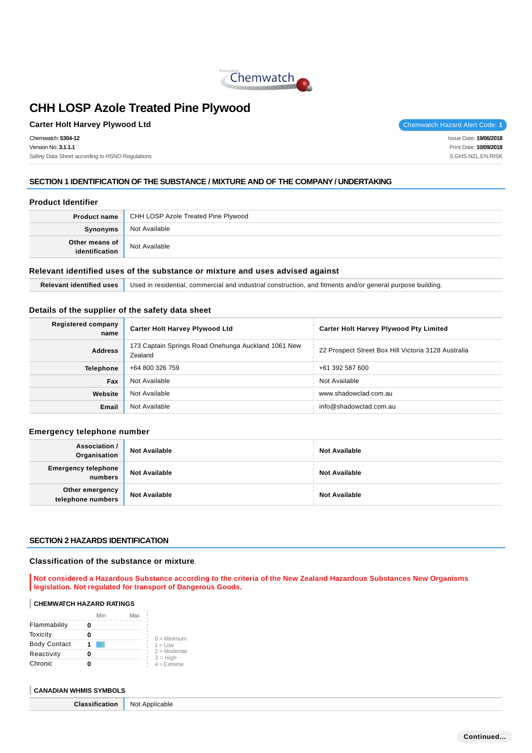

## **Carter Holt Harvey Plywood Ltd** Chemwatch Hazard Alert Code: 1

Chemwatch: **5304-12** Version No: **3.1.1.1** Safety Data Sheet according to HSNO Regulations Issue Date: **19/06/2018**

Print Date: **10/09/2018** S.GHS.NZL.EN.RISK

## **SECTION 1 IDENTIFICATION OF THE SUBSTANCE / MIXTURE AND OF THE COMPANY / UNDERTAKING**

#### **Product Identifier**

|                              | <b>Product name</b> CHH LOSP Azole Treated Pine Plywood |  |
|------------------------------|---------------------------------------------------------|--|
| Synonyms                     | Not Available                                           |  |
| Other means of dentification | Not Available                                           |  |

#### **Relevant identified uses of the substance or mixture and uses advised against**

**Relevant identified uses** Used in residential, commercial and industrial construction, and fitments and/or general purpose building.

#### **Details of the supplier of the safety data sheet**

| Registered company<br>name | <b>Carter Holt Harvey Plywood Ltd</b>                          | <b>Carter Holt Harvey Plywood Pty Limited</b>       |
|----------------------------|----------------------------------------------------------------|-----------------------------------------------------|
| <b>Address</b>             | 173 Captain Springs Road Onehunga Auckland 1061 New<br>Zealand | 22 Prospect Street Box Hill Victoria 3128 Australia |
| <b>Telephone</b>           | +64 800 326 759                                                | +61 392 587 600                                     |
| Fax                        | Not Available                                                  | Not Available                                       |
| Website                    | Not Available                                                  | www.shadowclad.com.au                               |
| Email                      | Not Available                                                  | info@shadowclad.com.au                              |

#### **Emergency telephone number**

| Association /<br>Organisation         | <b>Not Available</b> | <b>Not Available</b> |
|---------------------------------------|----------------------|----------------------|
| <b>Emergency telephone</b><br>numbers | <b>Not Available</b> | <b>Not Available</b> |
| Other emergency<br>telephone numbers  | <b>Not Available</b> | <b>Not Available</b> |

#### **SECTION 2 HAZARDS IDENTIFICATION**

#### **Classification of the substance or mixture**

**Not considered a Hazardous Substance according to the criteria of the New Zealand Hazardous Substances New Organisms legislation. Not regulated for transport of Dangerous Goods.**

#### **CHEMWATCH HAZARD RATINGS**

|                     | Min | Max |                              |
|---------------------|-----|-----|------------------------------|
| Flammability        |     |     |                              |
| Toxicity            |     |     | $0 =$ Minimum                |
| <b>Body Contact</b> |     |     | $1 = Low$                    |
| Reactivity          |     |     | $2 =$ Moderate<br>$3 = High$ |
| Chronic             |     |     | $4 =$ Extreme                |

#### **CANADIAN WHMIS SYMBOLS**

**Classification** Not Applicable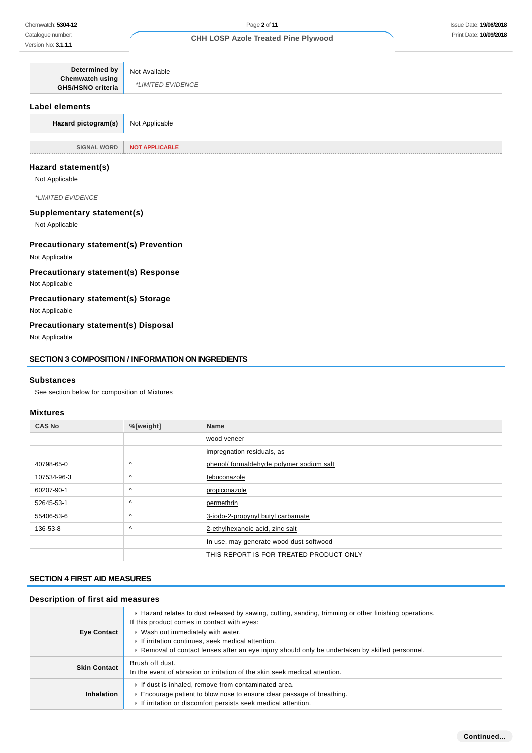| Determined by<br>Chemwatch using<br><b>GHS/HSNO criteria</b> | Not Available<br><i>*LIMITED EVIDENCE</i> |
|--------------------------------------------------------------|-------------------------------------------|
| Label elements                                               |                                           |
| Hazard pictogram(s)                                          | Not Applicable                            |
| <b>SIGNAL WORD</b>                                           | <b>NOT APPLICABLE</b>                     |

#### **Hazard statement(s)**

Not Applicable

\*LIMITED EVIDENCE

#### **Supplementary statement(s)**

Not Applicable

## **Precautionary statement(s) Prevention**

Not Applicable

## **Precautionary statement(s) Response**

Not Applicable

## **Precautionary statement(s) Storage**

Not Applicable

## **Precautionary statement(s) Disposal**

Not Applicable

#### **SECTION 3 COMPOSITION / INFORMATION ON INGREDIENTS**

#### **Substances**

See section below for composition of Mixtures

#### **Mixtures**

| <b>CAS No</b> | %[weight] | <b>Name</b>                              |
|---------------|-----------|------------------------------------------|
|               |           | wood veneer                              |
|               |           | impregnation residuals, as               |
| 40798-65-0    | Λ         | phenol/ formaldehyde polymer sodium salt |
| 107534-96-3   | $\wedge$  | tebuconazole                             |
| 60207-90-1    | Λ         | propiconazole                            |
| 52645-53-1    | Λ         | permethrin                               |
| 55406-53-6    | Λ         | 3-iodo-2-propynyl butyl carbamate        |
| 136-53-8      | $\wedge$  | 2-ethylhexanoic acid, zinc salt          |
|               |           | In use, may generate wood dust softwood  |
|               |           | THIS REPORT IS FOR TREATED PRODUCT ONLY  |

#### **SECTION 4 FIRST AID MEASURES**

#### **Description of first aid measures**

| <b>Eye Contact</b>  | ► Hazard relates to dust released by sawing, cutting, sanding, trimming or other finishing operations.<br>If this product comes in contact with eyes:<br>▶ Wash out immediately with water.<br>If irritation continues, seek medical attention.<br>▶ Removal of contact lenses after an eye injury should only be undertaken by skilled personnel. |
|---------------------|----------------------------------------------------------------------------------------------------------------------------------------------------------------------------------------------------------------------------------------------------------------------------------------------------------------------------------------------------|
| <b>Skin Contact</b> | Brush off dust.<br>In the event of abrasion or irritation of the skin seek medical attention.                                                                                                                                                                                                                                                      |
| <b>Inhalation</b>   | If dust is inhaled, remove from contaminated area.<br>Encourage patient to blow nose to ensure clear passage of breathing.<br>If irritation or discomfort persists seek medical attention.                                                                                                                                                         |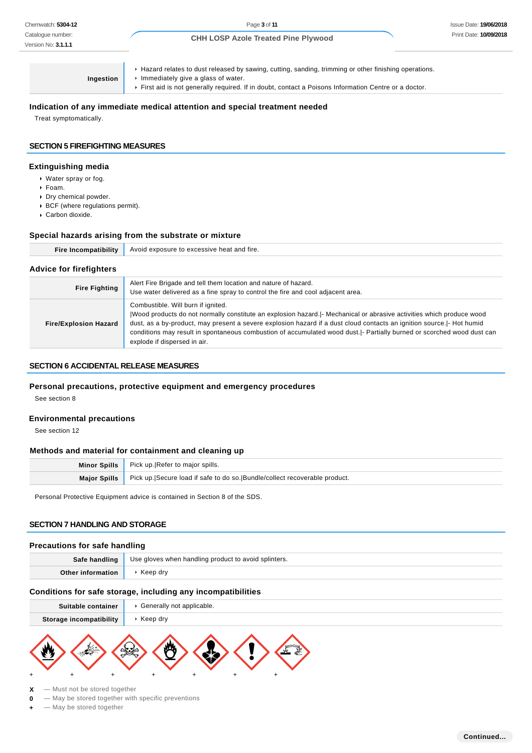**Ingestion**

Hazard relates to dust released by sawing, cutting, sanding, trimming or other finishing operations.

- **Immediately give a glass of water.** 
	- First aid is not generally required. If in doubt, contact a Poisons Information Centre or a doctor.

#### **Indication of any immediate medical attention and special treatment needed**

Treat symptomatically.

## **SECTION 5 FIREFIGHTING MEASURES**

#### **Extinguishing media**

- Water spray or fog.
- Foam.
- Dry chemical powder.
- BCF (where regulations permit).
- Carbon dioxide.

#### **Special hazards arising from the substrate or mixture**

| . Avoid exposure to excessive heat and fire. |
|----------------------------------------------|
|                                              |

#### **Advice for firefighters**

| <b>Fire Fighting</b>         | Alert Fire Brigade and tell them location and nature of hazard.<br>Use water delivered as a fine spray to control the fire and cool adjacent area.                                                                                                                                                                                                                                                                                              |
|------------------------------|-------------------------------------------------------------------------------------------------------------------------------------------------------------------------------------------------------------------------------------------------------------------------------------------------------------------------------------------------------------------------------------------------------------------------------------------------|
| <b>Fire/Explosion Hazard</b> | Combustible. Will burn if ignited.<br> Wood products do not normally constitute an explosion hazard. - Mechanical or abrasive activities which produce wood<br>dust, as a by-product, may present a severe explosion hazard if a dust cloud contacts an ignition source. [- Hot humid<br>conditions may result in spontaneous combustion of accumulated wood dust. - Partially burned or scorched wood dust can<br>explode if dispersed in air. |

#### **SECTION 6 ACCIDENTAL RELEASE MEASURES**

#### **Personal precautions, protective equipment and emergency procedures**

See section 8

#### **Environmental precautions**

See section 12

#### **Methods and material for containment and cleaning up**

| Minor Spills   Pick up. Refer to major spills.                                            |
|-------------------------------------------------------------------------------------------|
| Major Spills   Pick up. Secure load if safe to do so. Bundle/collect recoverable product. |

Personal Protective Equipment advice is contained in Section 8 of the SDS.

#### **SECTION 7 HANDLING AND STORAGE**

#### **Precautions for safe handling**

| Safe handling | Use gloves when handling product to avoid splinters. |
|---------------|------------------------------------------------------|
| $Othor$ info  | Keep drv                                             |

#### **Conditions for safe storage, including any incompatibilities**

| Suitable container      | Generally not applicable.                        |
|-------------------------|--------------------------------------------------|
| Storage incompatibility | $\triangleright$ Keep dry                        |
| +                       | $\mathbf{m}$<br>$\sqrt{2.2}$<br>+<br>+<br>٠<br>٠ |

- **X** Must not be stored together
- **0** May be stored together with specific preventions
- $-$  May be stored together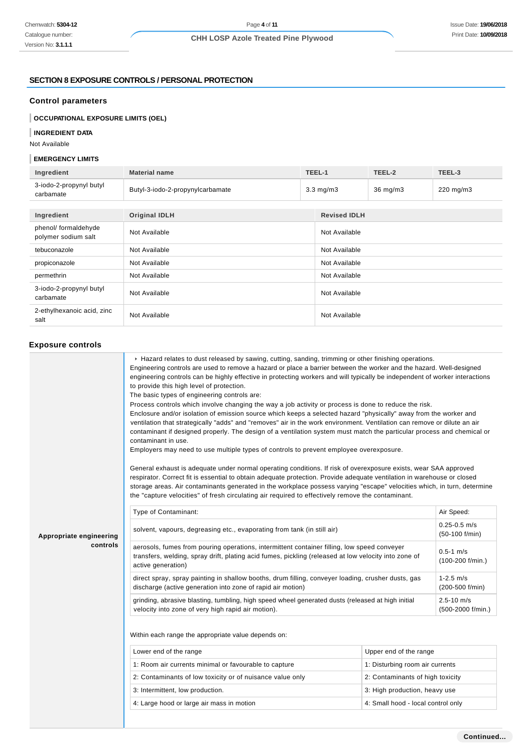#### **SECTION 8 EXPOSURE CONTROLS / PERSONAL PROTECTION**

## **Control parameters**

**OCCUPATIONAL EXPOSURE LIMITS (OEL)**

## **INGREDIENT DATA**

Not Available

## **EMERGENCY LIMITS**

| Ingredient                                  | <b>Material name</b>             | TEEL-1             |                     | TEEL-2   | TEEL-3    |
|---------------------------------------------|----------------------------------|--------------------|---------------------|----------|-----------|
| 3-iodo-2-propynyl butyl<br>carbamate        | Butyl-3-iodo-2-propynylcarbamate | $3.3 \text{ mg/m}$ |                     | 36 mg/m3 | 220 mg/m3 |
|                                             |                                  |                    |                     |          |           |
| Ingredient                                  | <b>Original IDLH</b>             |                    | <b>Revised IDLH</b> |          |           |
| phenol/ formaldehyde<br>polymer sodium salt | Not Available                    |                    | Not Available       |          |           |
| tebuconazole                                | Not Available                    |                    | Not Available       |          |           |
| propiconazole                               | Not Available                    |                    | Not Available       |          |           |
| permethrin                                  | Not Available                    |                    | Not Available       |          |           |
| 3-iodo-2-propynyl butyl<br>carbamate        | Not Available                    |                    | Not Available       |          |           |
| 2-ethylhexanoic acid, zinc<br>salt          | Not Available                    |                    | Not Available       |          |           |

## **Exposure controls**

|                                                                                 | ► Hazard relates to dust released by sawing, cutting, sanding, trimming or other finishing operations.<br>Engineering controls are used to remove a hazard or place a barrier between the worker and the hazard. Well-designed<br>engineering controls can be highly effective in protecting workers and will typically be independent of worker interactions<br>to provide this high level of protection.<br>The basic types of engineering controls are:<br>Process controls which involve changing the way a job activity or process is done to reduce the risk.<br>Enclosure and/or isolation of emission source which keeps a selected hazard "physically" away from the worker and<br>ventilation that strategically "adds" and "removes" air in the work environment. Ventilation can remove or dilute an air<br>contaminant if designed properly. The design of a ventilation system must match the particular process and chemical or<br>contaminant in use.<br>Employers may need to use multiple types of controls to prevent employee overexposure.<br>General exhaust is adequate under normal operating conditions. If risk of overexposure exists, wear SAA approved<br>respirator. Correct fit is essential to obtain adequate protection. Provide adequate ventilation in warehouse or closed<br>storage areas. Air contaminants generated in the workplace possess varying "escape" velocities which, in turn, determine<br>the "capture velocities" of fresh circulating air required to effectively remove the contaminant. |                                  |                                     |  |
|---------------------------------------------------------------------------------|-------------------------------------------------------------------------------------------------------------------------------------------------------------------------------------------------------------------------------------------------------------------------------------------------------------------------------------------------------------------------------------------------------------------------------------------------------------------------------------------------------------------------------------------------------------------------------------------------------------------------------------------------------------------------------------------------------------------------------------------------------------------------------------------------------------------------------------------------------------------------------------------------------------------------------------------------------------------------------------------------------------------------------------------------------------------------------------------------------------------------------------------------------------------------------------------------------------------------------------------------------------------------------------------------------------------------------------------------------------------------------------------------------------------------------------------------------------------------------------------------------------------------------------------------|----------------------------------|-------------------------------------|--|
|                                                                                 | Type of Contaminant:                                                                                                                                                                                                                                                                                                                                                                                                                                                                                                                                                                                                                                                                                                                                                                                                                                                                                                                                                                                                                                                                                                                                                                                                                                                                                                                                                                                                                                                                                                                            |                                  | Air Speed:                          |  |
| Appropriate engineering                                                         | solvent, vapours, degreasing etc., evaporating from tank (in still air)                                                                                                                                                                                                                                                                                                                                                                                                                                                                                                                                                                                                                                                                                                                                                                                                                                                                                                                                                                                                                                                                                                                                                                                                                                                                                                                                                                                                                                                                         |                                  | $0.25 - 0.5$ m/s<br>(50-100 f/min)  |  |
| controls                                                                        | aerosols, fumes from pouring operations, intermittent container filling, low speed conveyer<br>$0.5 - 1$ m/s<br>transfers, welding, spray drift, plating acid fumes, pickling (released at low velocity into zone of<br>(100-200 f/min.)<br>active generation)                                                                                                                                                                                                                                                                                                                                                                                                                                                                                                                                                                                                                                                                                                                                                                                                                                                                                                                                                                                                                                                                                                                                                                                                                                                                                  |                                  |                                     |  |
|                                                                                 | direct spray, spray painting in shallow booths, drum filling, conveyer loading, crusher dusts, gas<br>discharge (active generation into zone of rapid air motion)                                                                                                                                                                                                                                                                                                                                                                                                                                                                                                                                                                                                                                                                                                                                                                                                                                                                                                                                                                                                                                                                                                                                                                                                                                                                                                                                                                               | $1 - 2.5$ m/s<br>(200-500 f/min) |                                     |  |
|                                                                                 | grinding, abrasive blasting, tumbling, high speed wheel generated dusts (released at high initial<br>velocity into zone of very high rapid air motion).                                                                                                                                                                                                                                                                                                                                                                                                                                                                                                                                                                                                                                                                                                                                                                                                                                                                                                                                                                                                                                                                                                                                                                                                                                                                                                                                                                                         |                                  | $2.5 - 10$ m/s<br>(500-2000 f/min.) |  |
|                                                                                 | Within each range the appropriate value depends on:                                                                                                                                                                                                                                                                                                                                                                                                                                                                                                                                                                                                                                                                                                                                                                                                                                                                                                                                                                                                                                                                                                                                                                                                                                                                                                                                                                                                                                                                                             |                                  |                                     |  |
|                                                                                 | Lower end of the range                                                                                                                                                                                                                                                                                                                                                                                                                                                                                                                                                                                                                                                                                                                                                                                                                                                                                                                                                                                                                                                                                                                                                                                                                                                                                                                                                                                                                                                                                                                          | Upper end of the range           |                                     |  |
|                                                                                 | 1: Room air currents minimal or favourable to capture                                                                                                                                                                                                                                                                                                                                                                                                                                                                                                                                                                                                                                                                                                                                                                                                                                                                                                                                                                                                                                                                                                                                                                                                                                                                                                                                                                                                                                                                                           | 1: Disturbing room air currents  |                                     |  |
|                                                                                 | 2: Contaminants of low toxicity or of nuisance value only                                                                                                                                                                                                                                                                                                                                                                                                                                                                                                                                                                                                                                                                                                                                                                                                                                                                                                                                                                                                                                                                                                                                                                                                                                                                                                                                                                                                                                                                                       | 2: Contaminants of high toxicity |                                     |  |
|                                                                                 | 3: Intermittent, low production.                                                                                                                                                                                                                                                                                                                                                                                                                                                                                                                                                                                                                                                                                                                                                                                                                                                                                                                                                                                                                                                                                                                                                                                                                                                                                                                                                                                                                                                                                                                | 3: High production, heavy use    |                                     |  |
| 4: Large hood or large air mass in motion<br>4: Small hood - local control only |                                                                                                                                                                                                                                                                                                                                                                                                                                                                                                                                                                                                                                                                                                                                                                                                                                                                                                                                                                                                                                                                                                                                                                                                                                                                                                                                                                                                                                                                                                                                                 |                                  |                                     |  |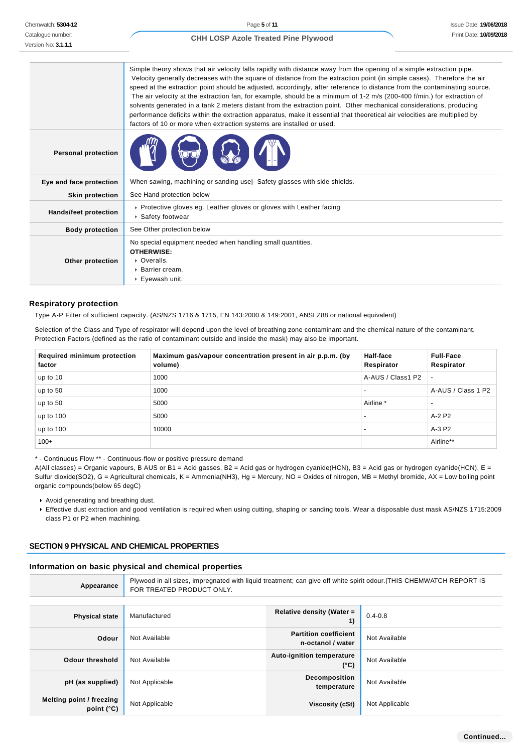Chemwatch: **5304-12** Catalogue number: Version No: **3.1.1.1**

#### **CHH LOSP Azole Treated Pine Plywood**

Simple theory shows that air velocity falls rapidly with distance away from the opening of a simple extraction pipe. Velocity generally decreases with the square of distance from the extraction point (in simple cases). Therefore the air speed at the extraction point should be adjusted, accordingly, after reference to distance from the contaminating source. The air velocity at the extraction fan, for example, should be a minimum of 1-2 m/s (200-400 f/min.) for extraction of solvents generated in a tank 2 meters distant from the extraction point. Other mechanical considerations, producing performance deficits within the extraction apparatus, make it essential that theoretical air velocities are multiplied by factors of 10 or more when extraction systems are installed or used. **Personal protection Eye and face protection** When sawing, machining or sanding use|- Safety glasses with side shields. **Skin protection** See Hand protection below **Hands/feet protection Protective gloves eg. Leather gloves or gloves with Leather facing** Safety footwear **Body protection** See Other protection below **Other protection** No special equipment needed when handling small quantities. **OTHERWISE:** ▶ Overalls. Barrier cream. Eyewash unit.

#### **Respiratory protection**

Type A-P Filter of sufficient capacity. (AS/NZS 1716 & 1715, EN 143:2000 & 149:2001, ANSI Z88 or national equivalent)

Selection of the Class and Type of respirator will depend upon the level of breathing zone contaminant and the chemical nature of the contaminant. Protection Factors (defined as the ratio of contaminant outside and inside the mask) may also be important.

| <b>Required minimum protection</b><br>factor | Maximum gas/vapour concentration present in air p.p.m. (by<br>volume) | <b>Half-face</b><br>Respirator | <b>Full-Face</b><br>Respirator |
|----------------------------------------------|-----------------------------------------------------------------------|--------------------------------|--------------------------------|
| up to 10                                     | 1000                                                                  | A-AUS / Class1 P2              |                                |
| up to 50                                     | 1000                                                                  |                                | A-AUS / Class 1 P2             |
| up to 50                                     | 5000                                                                  | Airline *                      |                                |
| up to $100$                                  | 5000                                                                  | $\overline{\phantom{a}}$       | A-2 P2                         |
| up to $100$                                  | 10000                                                                 |                                | A-3 P2                         |
| $100+$                                       |                                                                       |                                | Airline**                      |

\* - Continuous Flow \*\* - Continuous-flow or positive pressure demand

A(All classes) = Organic vapours, B AUS or B1 = Acid gasses, B2 = Acid gas or hydrogen cyanide(HCN), B3 = Acid gas or hydrogen cyanide(HCN), E = Sulfur dioxide(SO2), G = Agricultural chemicals, K = Ammonia(NH3), Hg = Mercury, NO = Oxides of nitrogen, MB = Methyl bromide, AX = Low boiling point organic compounds(below 65 degC)

Avoid generating and breathing dust.

Effective dust extraction and good ventilation is required when using cutting, shaping or sanding tools. Wear a disposable dust mask AS/NZS 1715:2009 class P1 or P2 when machining.

## **SECTION 9 PHYSICAL AND CHEMICAL PROPERTIES**

#### **Information on basic physical and chemical properties**

| Appearance                             | Plywood in all sizes, impregnated with liquid treatment; can give off white spirit odour. THIS CHEMWATCH REPORT IS<br>FOR TREATED PRODUCT ONLY. |                                                   |                |
|----------------------------------------|-------------------------------------------------------------------------------------------------------------------------------------------------|---------------------------------------------------|----------------|
|                                        |                                                                                                                                                 |                                                   |                |
| <b>Physical state</b>                  | Manufactured                                                                                                                                    | Relative density (Water =                         | $0.4 - 0.8$    |
| Odour                                  | Not Available                                                                                                                                   | <b>Partition coefficient</b><br>n-octanol / water | Not Available  |
| <b>Odour threshold</b>                 | Not Available                                                                                                                                   | <b>Auto-ignition temperature</b><br>$(^{\circ}C)$ | Not Available  |
| pH (as supplied)                       | Not Applicable                                                                                                                                  | Decomposition<br>temperature                      | Not Available  |
| Melting point / freezing<br>point (°C) | Not Applicable                                                                                                                                  | Viscosity (cSt)                                   | Not Applicable |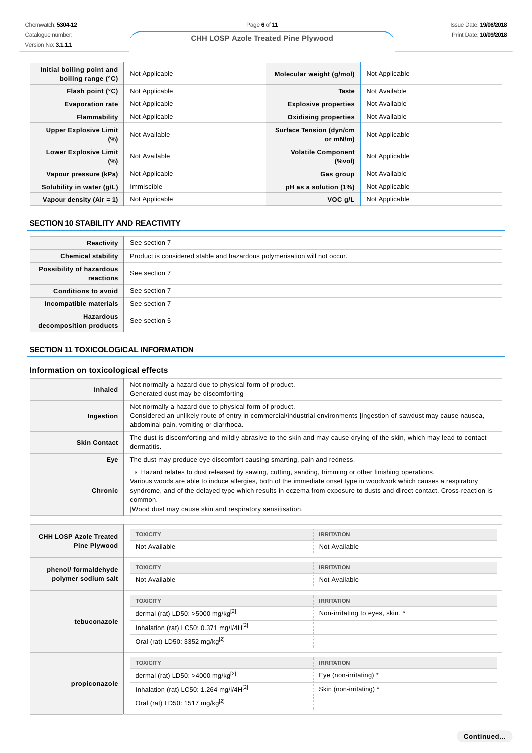f

| Initial boiling point and<br>boiling range (°C) | Not Applicable | Molecular weight (g/mol)                      | Not Applicable |
|-------------------------------------------------|----------------|-----------------------------------------------|----------------|
| Flash point $(°C)$                              | Not Applicable | <b>Taste</b>                                  | Not Available  |
| <b>Evaporation rate</b>                         | Not Applicable | <b>Explosive properties</b>                   | Not Available  |
| Flammability                                    | Not Applicable | <b>Oxidising properties</b>                   | Not Available  |
| <b>Upper Explosive Limit</b><br>(%)             | Not Available  | <b>Surface Tension (dyn/cm</b><br>or $mN/m$ ) | Not Applicable |
| <b>Lower Explosive Limit</b><br>(%)             | Not Available  | <b>Volatile Component</b><br>(%vol)           | Not Applicable |
| Vapour pressure (kPa)                           | Not Applicable | Gas group                                     | Not Available  |
| Solubility in water (g/L)                       | Immiscible     | pH as a solution (1%)                         | Not Applicable |
| Vapour density $(Air = 1)$                      | Not Applicable | VOC <sub>g</sub> /L                           | Not Applicable |

## **SECTION 10 STABILITY AND REACTIVITY**

| Reactivity                                 | See section 7                                                             |
|--------------------------------------------|---------------------------------------------------------------------------|
| <b>Chemical stability</b>                  | Product is considered stable and hazardous polymerisation will not occur. |
| Possibility of hazardous<br>reactions      | See section 7                                                             |
| <b>Conditions to avoid</b>                 | See section 7                                                             |
| Incompatible materials                     | See section 7                                                             |
| <b>Hazardous</b><br>decomposition products | See section 5                                                             |

## **SECTION 11 TOXICOLOGICAL INFORMATION**

## **Information on toxicological effects**

| <b>Inhaled</b>      | Not normally a hazard due to physical form of product.<br>Generated dust may be discomforting                                                                                                                                                                                                                                                                                                                                 |
|---------------------|-------------------------------------------------------------------------------------------------------------------------------------------------------------------------------------------------------------------------------------------------------------------------------------------------------------------------------------------------------------------------------------------------------------------------------|
| Ingestion           | Not normally a hazard due to physical form of product.<br>Considered an unlikely route of entry in commercial/industrial environments (Ingestion of sawdust may cause nausea,<br>abdominal pain, vomiting or diarrhoea.                                                                                                                                                                                                       |
| <b>Skin Contact</b> | The dust is discomforting and mildly abrasive to the skin and may cause drying of the skin, which may lead to contact<br>dermatitis.                                                                                                                                                                                                                                                                                          |
| Eye                 | The dust may produce eye discomfort causing smarting, pain and redness.                                                                                                                                                                                                                                                                                                                                                       |
| Chronic             | ► Hazard relates to dust released by sawing, cutting, sanding, trimming or other finishing operations.<br>Various woods are able to induce allergies, both of the immediate onset type in woodwork which causes a respiratory<br>syndrome, and of the delayed type which results in eczema from exposure to dusts and direct contact. Cross-reaction is<br>common.<br>Wood dust may cause skin and respiratory sensitisation. |

| <b>CHH LOSP Azole Treated</b><br><b>Pine Plywood</b> | <b>TOXICITY</b>                               | <b>IRRITATION</b>               |
|------------------------------------------------------|-----------------------------------------------|---------------------------------|
|                                                      | Not Available                                 | Not Available                   |
| phenol/ formaldehyde                                 | <b>TOXICITY</b>                               | <b>IRRITATION</b>               |
| polymer sodium salt                                  | Not Available                                 | Not Available                   |
|                                                      | <b>TOXICITY</b>                               | <b>IRRITATION</b>               |
|                                                      | dermal (rat) LD50: >5000 mg/kg <sup>[2]</sup> | Non-irritating to eyes, skin. * |
| tebuconazole                                         | Inhalation (rat) LC50: 0.371 mg/l/4H[2]       |                                 |
|                                                      | Oral (rat) LD50: 3352 mg/kg <sup>[2]</sup>    |                                 |
|                                                      | <b>TOXICITY</b>                               | <b>IRRITATION</b>               |
|                                                      | dermal (rat) LD50: >4000 mg/kg <sup>[2]</sup> | Eye (non-irritating) *          |
| propiconazole                                        | Inhalation (rat) LC50: 1.264 mg/l/4H[2]       | Skin (non-irritating) *         |
|                                                      | Oral (rat) LD50: 1517 mg/kg <sup>[2]</sup>    |                                 |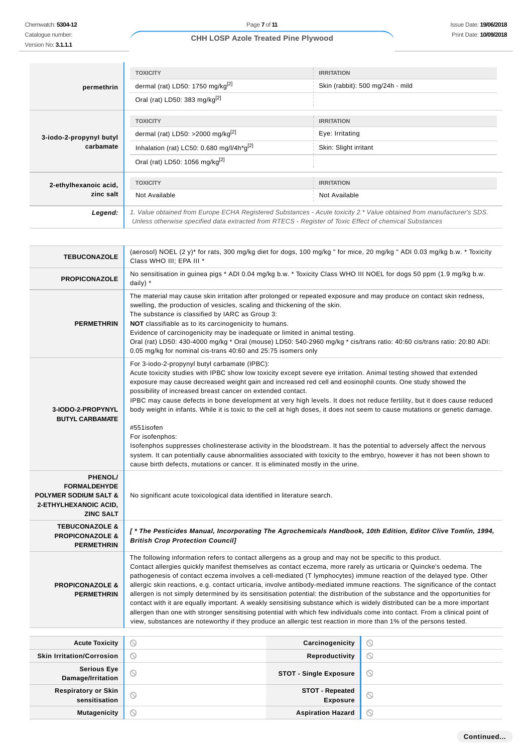Catalogue number: Version No: **3.1.1.1**

## **CHH LOSP Azole Treated Pine Plywood**

|                                      | <b>TOXICITY</b>                                                                                                                                                                                                                 | <b>IRRITATION</b>                |  |
|--------------------------------------|---------------------------------------------------------------------------------------------------------------------------------------------------------------------------------------------------------------------------------|----------------------------------|--|
| permethrin                           | dermal (rat) LD50: 1750 mg/kg $^{[2]}$                                                                                                                                                                                          | Skin (rabbit): 500 mg/24h - mild |  |
|                                      | Oral (rat) LD50: 383 mg/kg <sup>[2]</sup>                                                                                                                                                                                       |                                  |  |
|                                      | <b>TOXICITY</b>                                                                                                                                                                                                                 | <b>IRRITATION</b>                |  |
| 3-iodo-2-propynyl butyl<br>carbamate | dermal (rat) LD50: >2000 mg/kg <sup>[2]</sup>                                                                                                                                                                                   | Eye: Irritating                  |  |
|                                      | Inhalation (rat) LC50: 0.680 mg/l/4h*g[2]                                                                                                                                                                                       | Skin: Slight irritant            |  |
|                                      | Oral (rat) LD50: 1056 mg/kg <sup>[2]</sup>                                                                                                                                                                                      |                                  |  |
| 2-ethylhexanoic acid,                | <b>TOXICITY</b>                                                                                                                                                                                                                 | <b>IRRITATION</b>                |  |
| zinc salt                            | Not Available                                                                                                                                                                                                                   | Not Available                    |  |
| Legend:                              | 1. Value obtained from Europe ECHA Registered Substances - Acute toxicity 2.* Value obtained from manufacturer's SDS.<br>Unless otherwise specified data extracted from RTECS - Register of Toxic Effect of chemical Substances |                                  |  |

| <b>TEBUCONAZOLE</b>                                                                                             | (aerosol) NOEL (2 y)* for rats, 300 mg/kg diet for dogs, 100 mg/kg " for mice, 20 mg/kg " ADI 0.03 mg/kg b.w. * Toxicity<br>Class WHO III; EPA III *                                                                                                                                                                                                                                                                                                                                                                                                                                                                                                                                                                                                                                                                                                                                                                                                                                                    |         |  |
|-----------------------------------------------------------------------------------------------------------------|---------------------------------------------------------------------------------------------------------------------------------------------------------------------------------------------------------------------------------------------------------------------------------------------------------------------------------------------------------------------------------------------------------------------------------------------------------------------------------------------------------------------------------------------------------------------------------------------------------------------------------------------------------------------------------------------------------------------------------------------------------------------------------------------------------------------------------------------------------------------------------------------------------------------------------------------------------------------------------------------------------|---------|--|
| <b>PROPICONAZOLE</b>                                                                                            | No sensitisation in guinea pigs * ADI 0.04 mg/kg b.w. * Toxicity Class WHO III NOEL for dogs 50 ppm (1.9 mg/kg b.w.<br>daily) *                                                                                                                                                                                                                                                                                                                                                                                                                                                                                                                                                                                                                                                                                                                                                                                                                                                                         |         |  |
| <b>PERMETHRIN</b>                                                                                               | The material may cause skin irritation after prolonged or repeated exposure and may produce on contact skin redness,<br>swelling, the production of vesicles, scaling and thickening of the skin.<br>The substance is classified by IARC as Group 3:<br><b>NOT</b> classifiable as to its carcinogenicity to humans.<br>Evidence of carcinogenicity may be inadequate or limited in animal testing.<br>Oral (rat) LD50: 430-4000 mg/kg * Oral (mouse) LD50: 540-2960 mg/kg * cis/trans ratio: 40:60 cis/trans ratio: 20:80 ADI:<br>0.05 mg/kg for nominal cis-trans 40:60 and 25:75 isomers only                                                                                                                                                                                                                                                                                                                                                                                                        |         |  |
| 3-IODO-2-PROPYNYL<br><b>BUTYL CARBAMATE</b>                                                                     | For 3-iodo-2-propynyl butyl carbamate (IPBC):<br>Acute toxicity studies with IPBC show low toxicity except severe eye irritation. Animal testing showed that extended<br>exposure may cause decreased weight gain and increased red cell and eosinophil counts. One study showed the<br>possibility of increased breast cancer on extended contact.<br>IPBC may cause defects in bone development at very high levels. It does not reduce fertility, but it does cause reduced<br>body weight in infants. While it is toxic to the cell at high doses, it does not seem to cause mutations or genetic damage.<br>#551isofen<br>For isofenphos:<br>Isofenphos suppresses cholinesterase activity in the bloodstream. It has the potential to adversely affect the nervous<br>system. It can potentially cause abnormalities associated with toxicity to the embryo, however it has not been shown to<br>cause birth defects, mutations or cancer. It is eliminated mostly in the urine.                  |         |  |
| PHENOL/<br><b>FORMALDEHYDE</b><br><b>POLYMER SODIUM SALT &amp;</b><br>2-ETHYLHEXANOIC ACID,<br><b>ZINC SALT</b> | No significant acute toxicological data identified in literature search.                                                                                                                                                                                                                                                                                                                                                                                                                                                                                                                                                                                                                                                                                                                                                                                                                                                                                                                                |         |  |
| <b>TEBUCONAZOLE &amp;</b><br><b>PROPICONAZOLE &amp;</b><br><b>PERMETHRIN</b>                                    | [* The Pesticides Manual, Incorporating The Agrochemicals Handbook, 10th Edition, Editor Clive Tomlin, 1994,<br><b>British Crop Protection Council]</b>                                                                                                                                                                                                                                                                                                                                                                                                                                                                                                                                                                                                                                                                                                                                                                                                                                                 |         |  |
| <b>PROPICONAZOLE &amp;</b><br><b>PERMETHRIN</b>                                                                 | The following information refers to contact allergens as a group and may not be specific to this product.<br>Contact allergies quickly manifest themselves as contact eczema, more rarely as urticaria or Quincke's oedema. The<br>pathogenesis of contact eczema involves a cell-mediated (T lymphocytes) immune reaction of the delayed type. Other<br>allergic skin reactions, e.g. contact urticaria, involve antibody-mediated immune reactions. The significance of the contact<br>allergen is not simply determined by its sensitisation potential: the distribution of the substance and the opportunities for<br>contact with it are equally important. A weakly sensitising substance which is widely distributed can be a more important<br>allergen than one with stronger sensitising potential with which few individuals come into contact. From a clinical point of<br>view, substances are noteworthy if they produce an allergic test reaction in more than 1% of the persons tested. |         |  |
| <b>Acute Toxicity</b>                                                                                           | $\circledcirc$<br>Carcinogenicity                                                                                                                                                                                                                                                                                                                                                                                                                                                                                                                                                                                                                                                                                                                                                                                                                                                                                                                                                                       | O       |  |
| <b>Skin Irritation/Corrosion</b>                                                                                | $\circledcirc$<br>Reproductivity                                                                                                                                                                                                                                                                                                                                                                                                                                                                                                                                                                                                                                                                                                                                                                                                                                                                                                                                                                        | $\odot$ |  |
| <b>Serious Eye</b><br>Damage/Irritation                                                                         | $\odot$<br><b>STOT - Single Exposure</b>                                                                                                                                                                                                                                                                                                                                                                                                                                                                                                                                                                                                                                                                                                                                                                                                                                                                                                                                                                | $\odot$ |  |
| <b>Respiratory or Skin</b><br>sensitisation                                                                     | <b>STOT - Repeated</b><br>$\odot$<br><b>Exposure</b>                                                                                                                                                                                                                                                                                                                                                                                                                                                                                                                                                                                                                                                                                                                                                                                                                                                                                                                                                    | $\odot$ |  |
| <b>Mutagenicity</b>                                                                                             | $\circledcirc$<br><b>Aspiration Hazard</b>                                                                                                                                                                                                                                                                                                                                                                                                                                                                                                                                                                                                                                                                                                                                                                                                                                                                                                                                                              | $\odot$ |  |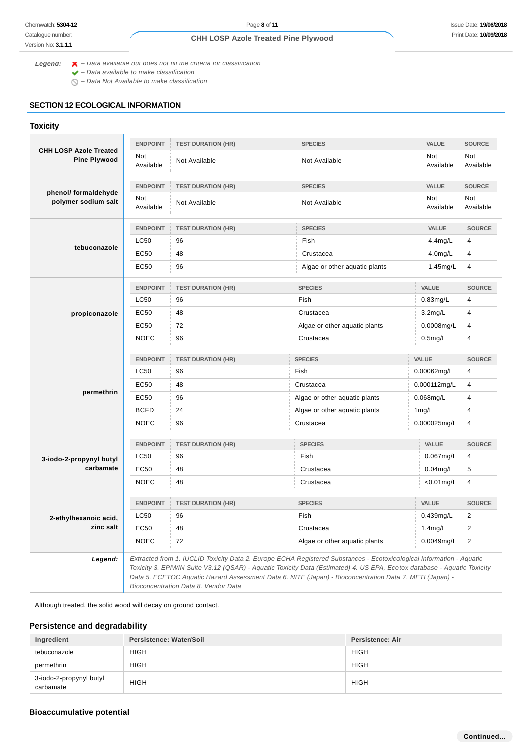Version No: **3.1.1.1**

## **CHH LOSP Azole Treated Pine Plywood**

**Legend:**  $\blacktriangleright$  - Data available but does not fill the criteria for classification

 $\blacktriangleright$  – Data available to make classification

 $\bigcirc$  – Data Not Available to make classification

## **SECTION 12 ECOLOGICAL INFORMATION**

## **Toxicity**

|                                                      | <b>ENDPOINT</b>         | <b>TEST DURATION (HR)</b> | <b>SPECIES</b>                                                                                                                                                                                                                                                                                                                                             | VALUE                   | <b>SOURCE</b>           |
|------------------------------------------------------|-------------------------|---------------------------|------------------------------------------------------------------------------------------------------------------------------------------------------------------------------------------------------------------------------------------------------------------------------------------------------------------------------------------------------------|-------------------------|-------------------------|
| <b>CHH LOSP Azole Treated</b><br><b>Pine Plywood</b> | <b>Not</b><br>Available | Not Available             | Not Available                                                                                                                                                                                                                                                                                                                                              | <b>Not</b><br>Available | <b>Not</b><br>Available |
|                                                      | <b>ENDPOINT</b>         | <b>TEST DURATION (HR)</b> | <b>SPECIES</b>                                                                                                                                                                                                                                                                                                                                             | VALUE                   | <b>SOURCE</b>           |
| phenol/ formaldehyde<br>polymer sodium salt          | Not<br>Available        | Not Available             | Not Available                                                                                                                                                                                                                                                                                                                                              | Not<br>Available        | Not<br>Available        |
|                                                      | <b>ENDPOINT</b>         | <b>TEST DURATION (HR)</b> | <b>SPECIES</b>                                                                                                                                                                                                                                                                                                                                             | VALUE                   | <b>SOURCE</b>           |
|                                                      | <b>LC50</b>             | 96                        | Fish                                                                                                                                                                                                                                                                                                                                                       | $4.4$ mg/L              |                         |
| tebuconazole                                         | EC50                    | 48                        | Crustacea                                                                                                                                                                                                                                                                                                                                                  | $4.0$ mg/L              | $\overline{4}$          |
|                                                      | EC50                    | 96                        | Algae or other aquatic plants                                                                                                                                                                                                                                                                                                                              | 1.45mg/L                | 4                       |
|                                                      | <b>ENDPOINT</b>         | <b>TEST DURATION (HR)</b> | <b>SPECIES</b>                                                                                                                                                                                                                                                                                                                                             | VALUE                   | <b>SOURCE</b>           |
|                                                      | <b>LC50</b>             | 96                        | Fish                                                                                                                                                                                                                                                                                                                                                       | 0.83mg/L                | $\overline{4}$          |
| propiconazole                                        | <b>EC50</b>             | 48                        | Crustacea                                                                                                                                                                                                                                                                                                                                                  | $3.2$ mg/L              | $\overline{4}$          |
|                                                      | EC50                    | 72                        | Algae or other aquatic plants                                                                                                                                                                                                                                                                                                                              | $0.0008$ mg/L           | 4                       |
|                                                      | <b>NOEC</b>             | 96                        | Crustacea                                                                                                                                                                                                                                                                                                                                                  | $0.5$ mg/L              | $\overline{4}$          |
|                                                      | <b>ENDPOINT</b>         | <b>TEST DURATION (HR)</b> | <b>SPECIES</b>                                                                                                                                                                                                                                                                                                                                             | VALUE                   | <b>SOURCE</b>           |
|                                                      | LC50                    | 96                        | Fish                                                                                                                                                                                                                                                                                                                                                       | 0.00062mg/L             | $\overline{4}$          |
|                                                      | <b>EC50</b>             | 48                        | Crustacea                                                                                                                                                                                                                                                                                                                                                  | 0.000112mg/L            | $\overline{4}$          |
| permethrin                                           | EC50                    | 96                        | Algae or other aquatic plants                                                                                                                                                                                                                                                                                                                              | $0.068$ mg/L            | 4                       |
|                                                      | <b>BCFD</b>             | 24                        | Algae or other aquatic plants                                                                                                                                                                                                                                                                                                                              | 1mg/L                   | $\overline{4}$          |
|                                                      | <b>NOEC</b>             | 96                        | Crustacea                                                                                                                                                                                                                                                                                                                                                  | 0.000025mg/L            | 4                       |
|                                                      | <b>ENDPOINT</b>         | <b>TEST DURATION (HR)</b> | <b>SPECIES</b>                                                                                                                                                                                                                                                                                                                                             | VALUE                   | <b>SOURCE</b>           |
| 3-iodo-2-propynyl butyl                              | <b>LC50</b>             | 96                        | Fish                                                                                                                                                                                                                                                                                                                                                       | 0.067mg/L               | $\overline{4}$          |
| carbamate                                            | <b>EC50</b>             | 48                        | Crustacea                                                                                                                                                                                                                                                                                                                                                  | $0.04$ mg/L             | 5                       |
|                                                      | <b>NOEC</b>             | 48                        | Crustacea                                                                                                                                                                                                                                                                                                                                                  | $< 0.01$ mg/L           | 4                       |
|                                                      | <b>ENDPOINT</b>         | <b>TEST DURATION (HR)</b> | <b>SPECIES</b>                                                                                                                                                                                                                                                                                                                                             | <b>VALUE</b>            | <b>SOURCE</b>           |
| 2-ethylhexanoic acid,                                | <b>LC50</b>             | 96                        | Fish                                                                                                                                                                                                                                                                                                                                                       | 0.439mg/L               | $\overline{2}$          |
| zinc salt                                            | EC50                    | 48                        | Crustacea                                                                                                                                                                                                                                                                                                                                                  | 1.4mg/L                 | $\overline{c}$          |
|                                                      | <b>NOEC</b>             | 72                        | Algae or other aquatic plants                                                                                                                                                                                                                                                                                                                              | 0.0049mg/L              | 2                       |
| Legend:                                              |                         |                           | Extracted from 1. IUCLID Toxicity Data 2. Europe ECHA Registered Substances - Ecotoxicological Information - Aquatic<br>Toxicity 3. EPIWIN Suite V3.12 (QSAR) - Aquatic Toxicity Data (Estimated) 4. US EPA, Ecotox database - Aquatic Toxicity<br>Data 5. ECETOC Aquatic Hazard Assessment Data 6. NITE (Japan) - Bioconcentration Data 7. METI (Japan) - |                         |                         |

Bioconcentration Data 8. Vendor Data

Although treated, the solid wood will decay on ground contact.

## **Persistence and degradability**

| Ingredient                           | Persistence: Water/Soil | Persistence: Air |
|--------------------------------------|-------------------------|------------------|
| tebuconazole                         | <b>HIGH</b>             | <b>HIGH</b>      |
| permethrin                           | <b>HIGH</b>             | <b>HIGH</b>      |
| 3-iodo-2-propynyl butyl<br>carbamate | <b>HIGH</b>             | <b>HIGH</b>      |

## **Bioaccumulative potential**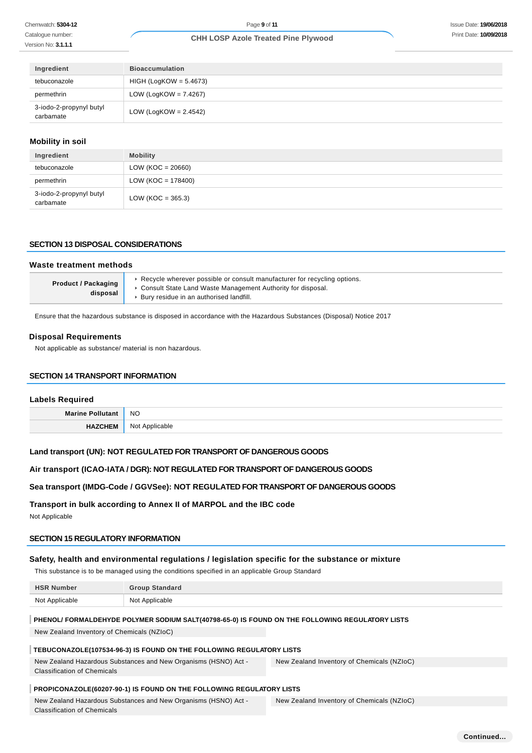Catalogue number: Version No: **3.1.1.1**

#### **CHH LOSP Azole Treated Pine Plywood**

| Ingredient                           | <b>Bioaccumulation</b>   |
|--------------------------------------|--------------------------|
| tebuconazole                         | $HIGH (LogKOW = 5.4673)$ |
| permethrin                           | LOW (LogKOW = $7.4267$ ) |
| 3-iodo-2-propynyl butyl<br>carbamate | LOW (LogKOW = $2.4542$ ) |

## **Mobility in soil**

| Ingredient                           | <b>Mobility</b>       |
|--------------------------------------|-----------------------|
| tebuconazole                         | $LOW (KOC = 20660)$   |
| permethrin                           | $LOW (KOC = 178400)$  |
| 3-iodo-2-propynyl butyl<br>carbamate | LOW ( $KOC = 365.3$ ) |

#### **SECTION 13 DISPOSAL CONSIDERATIONS**

#### **Waste treatment methods Product / Packaging disposal** ▶ Recycle wherever possible or consult manufacturer for recycling options. Consult State Land Waste Management Authority for disposal. Bury residue in an authorised landfill.

Ensure that the hazardous substance is disposed in accordance with the Hazardous Substances (Disposal) Notice 2017

#### **Disposal Requirements**

Not applicable as substance/ material is non hazardous.

#### **SECTION 14 TRANSPORT INFORMATION**

#### **Labels Required**

| <b>Marine</b> | <b>NO</b>             |
|---------------|-----------------------|
|               | <b>110</b><br>۱٬۲۵۸۱۵ |

#### **Land transport (UN): NOT REGULATED FOR TRANSPORT OF DANGEROUS GOODS**

#### **Air transport (ICAO-IATA / DGR): NOT REGULATED FOR TRANSPORT OF DANGEROUS GOODS**

**Sea transport (IMDG-Code / GGVSee): NOT REGULATED FOR TRANSPORT OF DANGEROUS GOODS**

#### **Transport in bulk according to Annex II of MARPOL and the IBC code**

Not Applicable

Classification of Chemicals

#### **SECTION 15 REGULATORY INFORMATION**

#### **Safety, health and environmental regulations / legislation specific for the substance or mixture**

This substance is to be managed using the conditions specified in an applicable Group Standard

| <b>HSR Number</b>                                                                                             | <b>Group Standard</b>                                                                           |                                            |
|---------------------------------------------------------------------------------------------------------------|-------------------------------------------------------------------------------------------------|--------------------------------------------|
| Not Applicable                                                                                                | Not Applicable                                                                                  |                                            |
|                                                                                                               | PHENOL/ FORMALDEHYDE POLYMER SODIUM SALT(40798-65-0) IS FOUND ON THE FOLLOWING REGULATORY LISTS |                                            |
| New Zealand Inventory of Chemicals (NZIoC)                                                                    |                                                                                                 |                                            |
| TEBUCONAZOLE(107534-96-3) IS FOUND ON THE FOLLOWING REGULATORY LISTS                                          |                                                                                                 |                                            |
| New Zealand Hazardous Substances and New Organisms (HSNO) Act -<br>New Zealand Inventory of Chemicals (NZIoC) |                                                                                                 |                                            |
| <b>Classification of Chemicals</b>                                                                            |                                                                                                 |                                            |
| PROPICONAZOLE(60207-90-1) IS FOUND ON THE FOLLOWING REGULATORY LISTS                                          |                                                                                                 |                                            |
|                                                                                                               | New Zealand Hazardous Substances and New Organisms (HSNO) Act -                                 | New Zealand Inventory of Chemicals (NZIoC) |

**Continued...**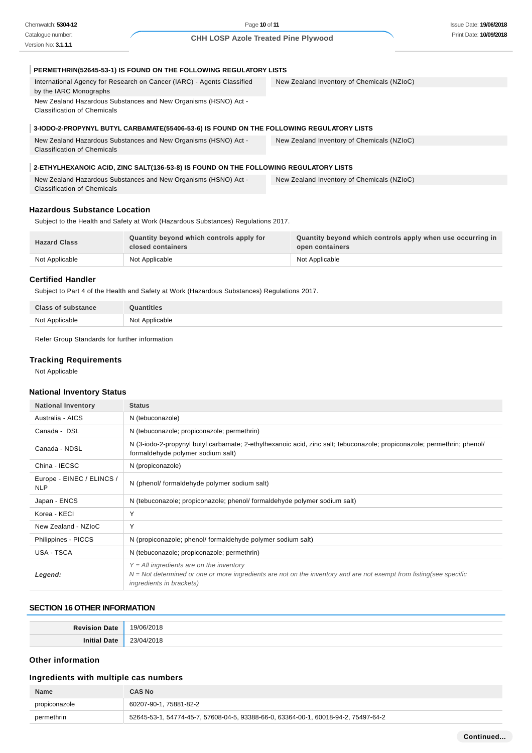Page **10** of **11**

## **CHH LOSP Azole Treated Pine Plywood**

| PERMETHRIN(52645-53-1) IS FOUND ON THE FOLLOWING REGULATORY LISTS                                     |                                            |
|-------------------------------------------------------------------------------------------------------|--------------------------------------------|
| International Agency for Research on Cancer (IARC) - Agents Classified<br>by the IARC Monographs      | New Zealand Inventory of Chemicals (NZIoC) |
| New Zealand Hazardous Substances and New Organisms (HSNO) Act -<br><b>Classification of Chemicals</b> |                                            |
| 3-IODO-2-PROPYNYL BUTYL CARBAMATE(55406-53-6) IS FOUND ON THE FOLLOWING REGULATORY LISTS              |                                            |
| New Zealand Hazardous Substances and New Organisms (HSNO) Act -<br><b>Classification of Chemicals</b> | New Zealand Inventory of Chemicals (NZIoC) |
| 2-ETHYLHEXANOIC ACID, ZINC SALT(136-53-8) IS FOUND ON THE FOLLOWING REGULATORY LISTS                  |                                            |
| New Zealand Hazardous Substances and New Organisms (HSNO) Act -<br><b>Classification of Chemicals</b> | New Zealand Inventory of Chemicals (NZIoC) |

## **Hazardous Substance Location**

Subject to the Health and Safety at Work (Hazardous Substances) Regulations 2017.

| <b>Hazard Class</b> | Quantity beyond which controls apply for<br>closed containers | Quantity beyond which controls apply when use occurring in<br>open containers |
|---------------------|---------------------------------------------------------------|-------------------------------------------------------------------------------|
| Not Applicable      | Not Applicable                                                | Not Applicable                                                                |

#### **Certified Handler**

Subject to Part 4 of the Health and Safety at Work (Hazardous Substances) Regulations 2017.

| <b>Class of substance</b> | <b>Quantities</b> |
|---------------------------|-------------------|
| Not Applicable            | Not Applicable    |

Refer Group Standards for further information

## **Tracking Requirements**

Not Applicable

## **National Inventory Status**

| <b>National Inventory</b>               | <b>Status</b>                                                                                                                                                                                          |
|-----------------------------------------|--------------------------------------------------------------------------------------------------------------------------------------------------------------------------------------------------------|
| Australia - AICS                        | N (tebuconazole)                                                                                                                                                                                       |
| Canada - DSL                            | N (tebuconazole; propiconazole; permethrin)                                                                                                                                                            |
| Canada - NDSL                           | N (3-iodo-2-propynyl butyl carbamate; 2-ethylhexanoic acid, zinc salt; tebuconazole; propiconazole; permethrin; phenol/<br>formaldehyde polymer sodium salt)                                           |
| China - IECSC                           | N (propiconazole)                                                                                                                                                                                      |
| Europe - EINEC / ELINCS /<br><b>NLP</b> | N (phenol/ formaldehyde polymer sodium salt)                                                                                                                                                           |
| Japan - ENCS                            | N (tebuconazole; propiconazole; phenol/ formaldehyde polymer sodium salt)                                                                                                                              |
| Korea - KECI                            | Y                                                                                                                                                                                                      |
| New Zealand - NZIoC                     | Υ                                                                                                                                                                                                      |
| Philippines - PICCS                     | N (propiconazole; phenol/ formaldehyde polymer sodium salt)                                                                                                                                            |
| USA - TSCA                              | N (tebuconazole; propiconazole; permethrin)                                                                                                                                                            |
| Legend:                                 | $Y = All$ ingredients are on the inventory<br>$N = Not$ determined or one or more ingredients are not on the inventory and are not exempt from listing(see specific<br><i>ingredients in brackets)</i> |

#### **SECTION 16 OTHER INFORMATION**

| <b>Povicion</b><br>Date<br>nc | 19/06/2018<br>.                          |
|-------------------------------|------------------------------------------|
| ∩∽≁                           | 2210<br>1/2018<br>$\cdot$ $\lambda$<br>. |

## **Other information**

## **Ingredients with multiple cas numbers**

| <b>Name</b>   | <b>CAS No</b>                                                                      |
|---------------|------------------------------------------------------------------------------------|
| propiconazole | 60207-90-1, 75881-82-2                                                             |
| permethrin    | 52645-53-1, 54774-45-7, 57608-04-5, 93388-66-0, 63364-00-1, 60018-94-2, 75497-64-2 |